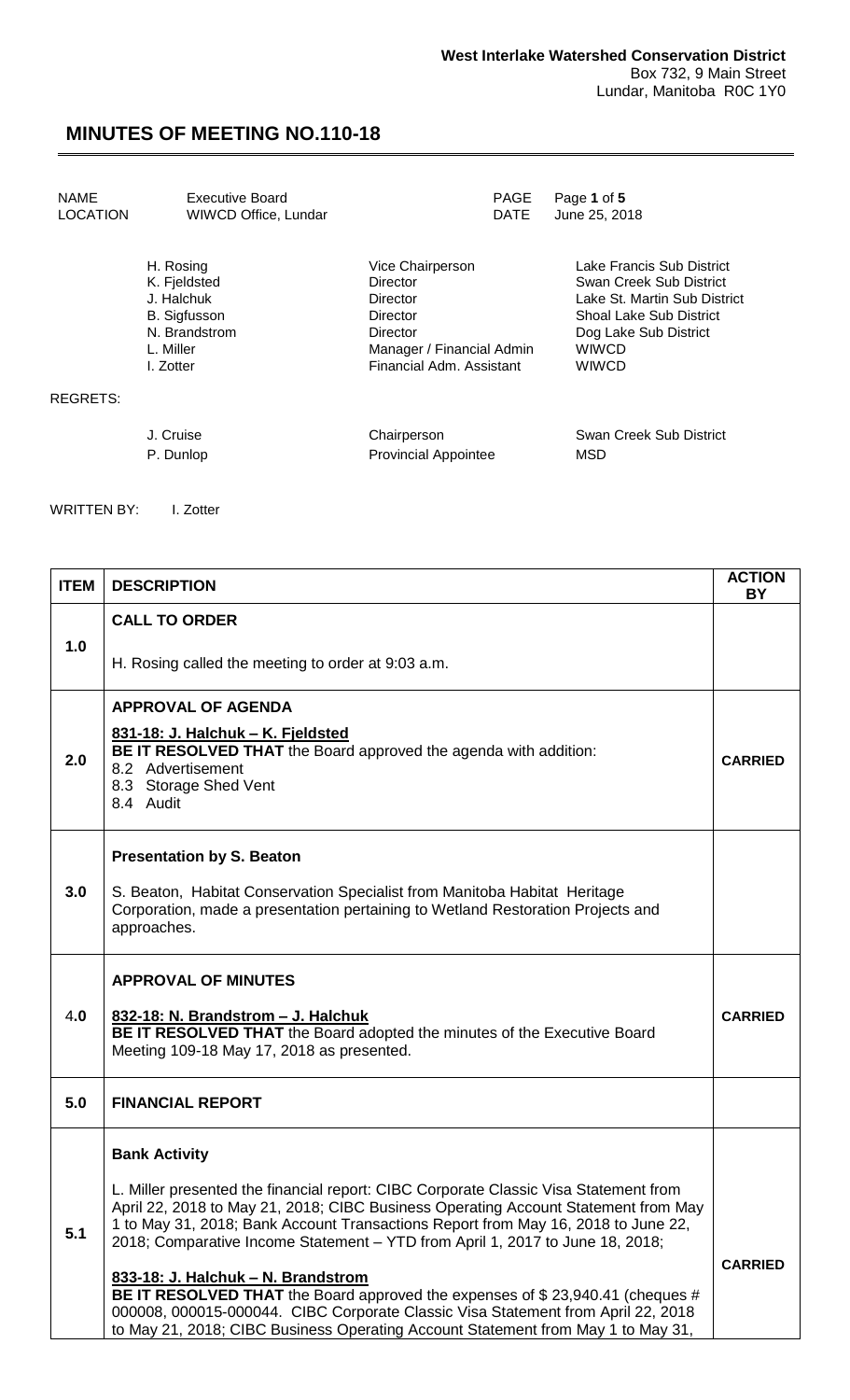| <b>NAME</b>     | Executive Board      | <b>PAGE</b>                 | Page 1 of 5                  |
|-----------------|----------------------|-----------------------------|------------------------------|
| <b>LOCATION</b> | WIWCD Office, Lundar | <b>DATE</b>                 | June 25, 2018                |
|                 | H. Rosing            | Vice Chairperson            | Lake Francis Sub District    |
|                 | K. Fjeldsted         | Director                    | Swan Creek Sub District      |
|                 | J. Halchuk           | Director                    | Lake St. Martin Sub District |
|                 | <b>B.</b> Sigfusson  | Director                    | Shoal Lake Sub District      |
|                 | N. Brandstrom        | Director                    | Dog Lake Sub District        |
|                 | L. Miller            | Manager / Financial Admin   | <b>WIWCD</b>                 |
|                 | I. Zotter            | Financial Adm. Assistant    | <b>WIWCD</b>                 |
| REGRETS:        |                      |                             |                              |
|                 | J. Cruise            | Chairperson                 | Swan Creek Sub District      |
|                 | P. Dunlop            | <b>Provincial Appointee</b> | MSD                          |

WRITTEN BY: I. Zotter

| <b>ITEM</b> | <b>DESCRIPTION</b>                                                                                                                                                                                                                                                                                                                                                                                                                                                                                                                                                                                                                                                      | <b>ACTION</b><br><b>BY</b> |
|-------------|-------------------------------------------------------------------------------------------------------------------------------------------------------------------------------------------------------------------------------------------------------------------------------------------------------------------------------------------------------------------------------------------------------------------------------------------------------------------------------------------------------------------------------------------------------------------------------------------------------------------------------------------------------------------------|----------------------------|
|             | <b>CALL TO ORDER</b>                                                                                                                                                                                                                                                                                                                                                                                                                                                                                                                                                                                                                                                    |                            |
| 1.0         | H. Rosing called the meeting to order at 9:03 a.m.                                                                                                                                                                                                                                                                                                                                                                                                                                                                                                                                                                                                                      |                            |
| 2.0         | <b>APPROVAL OF AGENDA</b><br>831-18: J. Halchuk - K. Fjeldsted<br>BE IT RESOLVED THAT the Board approved the agenda with addition:<br>8.2 Advertisement<br>8.3 Storage Shed Vent<br>8.4 Audit                                                                                                                                                                                                                                                                                                                                                                                                                                                                           | <b>CARRIED</b>             |
| 3.0         | <b>Presentation by S. Beaton</b><br>S. Beaton, Habitat Conservation Specialist from Manitoba Habitat Heritage<br>Corporation, made a presentation pertaining to Wetland Restoration Projects and<br>approaches.                                                                                                                                                                                                                                                                                                                                                                                                                                                         |                            |
| 4.0         | <b>APPROVAL OF MINUTES</b><br>832-18: N. Brandstrom - J. Halchuk<br>BE IT RESOLVED THAT the Board adopted the minutes of the Executive Board<br>Meeting 109-18 May 17, 2018 as presented.                                                                                                                                                                                                                                                                                                                                                                                                                                                                               | <b>CARRIED</b>             |
| 5.0         | <b>FINANCIAL REPORT</b>                                                                                                                                                                                                                                                                                                                                                                                                                                                                                                                                                                                                                                                 |                            |
| 5.1         | <b>Bank Activity</b><br>L. Miller presented the financial report: CIBC Corporate Classic Visa Statement from<br>April 22, 2018 to May 21, 2018; CIBC Business Operating Account Statement from May<br>1 to May 31, 2018; Bank Account Transactions Report from May 16, 2018 to June 22,<br>2018; Comparative Income Statement - YTD from April 1, 2017 to June 18, 2018;<br>833-18: J. Halchuk - N. Brandstrom<br>BE IT RESOLVED THAT the Board approved the expenses of \$23,940.41 (cheques #<br>000008, 000015-000044. CIBC Corporate Classic Visa Statement from April 22, 2018<br>to May 21, 2018; CIBC Business Operating Account Statement from May 1 to May 31, | <b>CARRIED</b>             |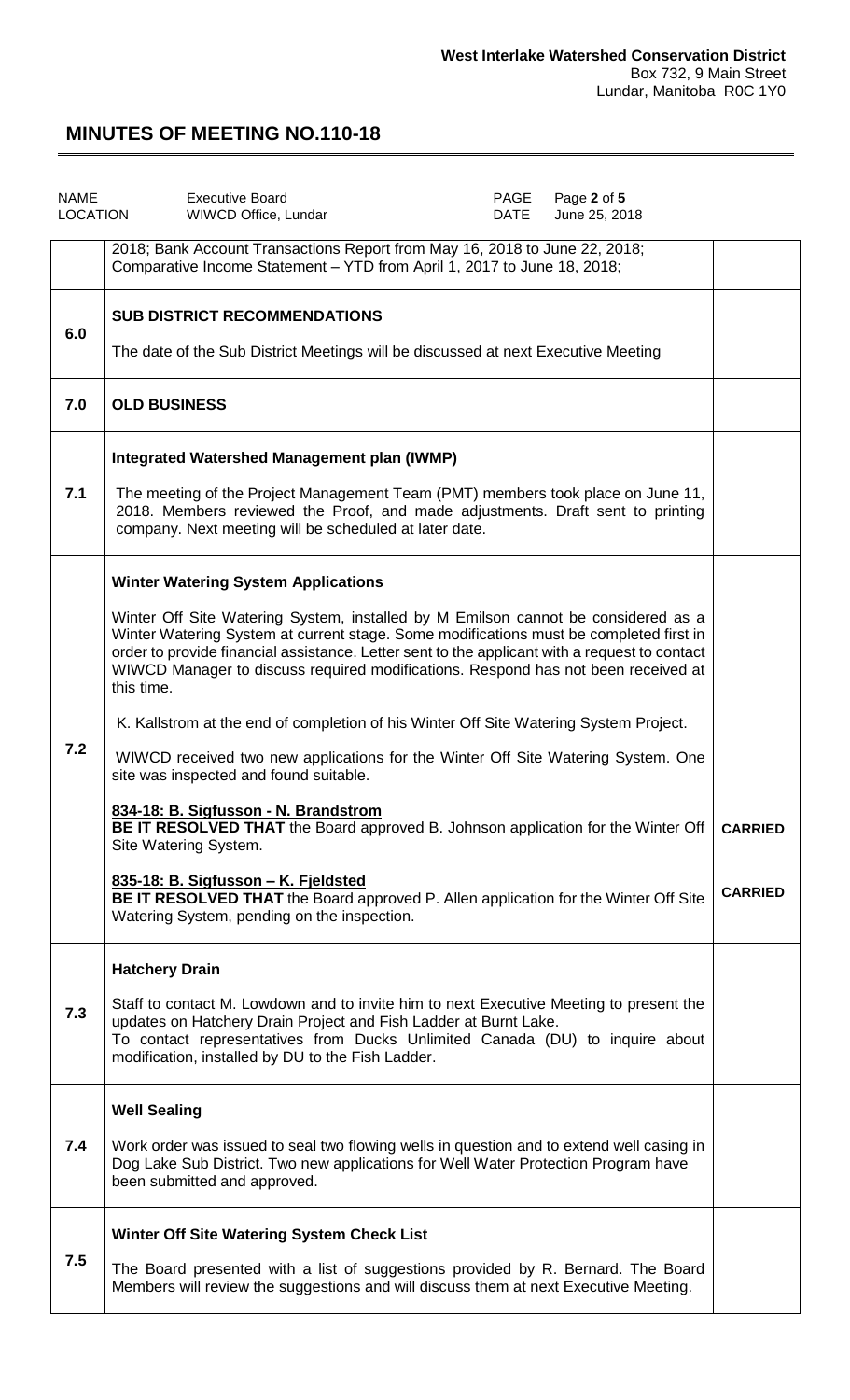| <b>NAME</b> | Page 2 of 5<br><b>Executive Board</b><br>PAGE<br>LOCATION<br>June 25, 2018<br>WIWCD Office, Lundar<br>DATE                                                                                                                                                                                                                                                                                                                                                                                                                                                                                                                                                                                                                                                                                                                                       |                |
|-------------|--------------------------------------------------------------------------------------------------------------------------------------------------------------------------------------------------------------------------------------------------------------------------------------------------------------------------------------------------------------------------------------------------------------------------------------------------------------------------------------------------------------------------------------------------------------------------------------------------------------------------------------------------------------------------------------------------------------------------------------------------------------------------------------------------------------------------------------------------|----------------|
|             | 2018; Bank Account Transactions Report from May 16, 2018 to June 22, 2018;<br>Comparative Income Statement - YTD from April 1, 2017 to June 18, 2018;                                                                                                                                                                                                                                                                                                                                                                                                                                                                                                                                                                                                                                                                                            |                |
| 6.0         | <b>SUB DISTRICT RECOMMENDATIONS</b><br>The date of the Sub District Meetings will be discussed at next Executive Meeting                                                                                                                                                                                                                                                                                                                                                                                                                                                                                                                                                                                                                                                                                                                         |                |
| 7.0         | <b>OLD BUSINESS</b>                                                                                                                                                                                                                                                                                                                                                                                                                                                                                                                                                                                                                                                                                                                                                                                                                              |                |
| 7.1         | Integrated Watershed Management plan (IWMP)<br>The meeting of the Project Management Team (PMT) members took place on June 11,<br>2018. Members reviewed the Proof, and made adjustments. Draft sent to printing<br>company. Next meeting will be scheduled at later date.                                                                                                                                                                                                                                                                                                                                                                                                                                                                                                                                                                       |                |
| 7.2         | <b>Winter Watering System Applications</b><br>Winter Off Site Watering System, installed by M Emilson cannot be considered as a<br>Winter Watering System at current stage. Some modifications must be completed first in<br>order to provide financial assistance. Letter sent to the applicant with a request to contact<br>WIWCD Manager to discuss required modifications. Respond has not been received at<br>this time.<br>K. Kallstrom at the end of completion of his Winter Off Site Watering System Project.<br>WIWCD received two new applications for the Winter Off Site Watering System. One<br>site was inspected and found suitable.<br>834-18: B. Sigfusson - N. Brandstrom<br>BE IT RESOLVED THAT the Board approved B. Johnson application for the Winter Off<br>Site Watering System.<br>835-18: B. Sigfusson - K. Fjeldsted | <b>CARRIED</b> |
|             | BE IT RESOLVED THAT the Board approved P. Allen application for the Winter Off Site<br>Watering System, pending on the inspection.                                                                                                                                                                                                                                                                                                                                                                                                                                                                                                                                                                                                                                                                                                               | <b>CARRIED</b> |
| 7.3         | <b>Hatchery Drain</b><br>Staff to contact M. Lowdown and to invite him to next Executive Meeting to present the<br>updates on Hatchery Drain Project and Fish Ladder at Burnt Lake.<br>To contact representatives from Ducks Unlimited Canada (DU) to inquire about<br>modification, installed by DU to the Fish Ladder.                                                                                                                                                                                                                                                                                                                                                                                                                                                                                                                         |                |
| 7.4         | <b>Well Sealing</b><br>Work order was issued to seal two flowing wells in question and to extend well casing in<br>Dog Lake Sub District. Two new applications for Well Water Protection Program have<br>been submitted and approved.                                                                                                                                                                                                                                                                                                                                                                                                                                                                                                                                                                                                            |                |
| 7.5         | Winter Off Site Watering System Check List<br>The Board presented with a list of suggestions provided by R. Bernard. The Board<br>Members will review the suggestions and will discuss them at next Executive Meeting.                                                                                                                                                                                                                                                                                                                                                                                                                                                                                                                                                                                                                           |                |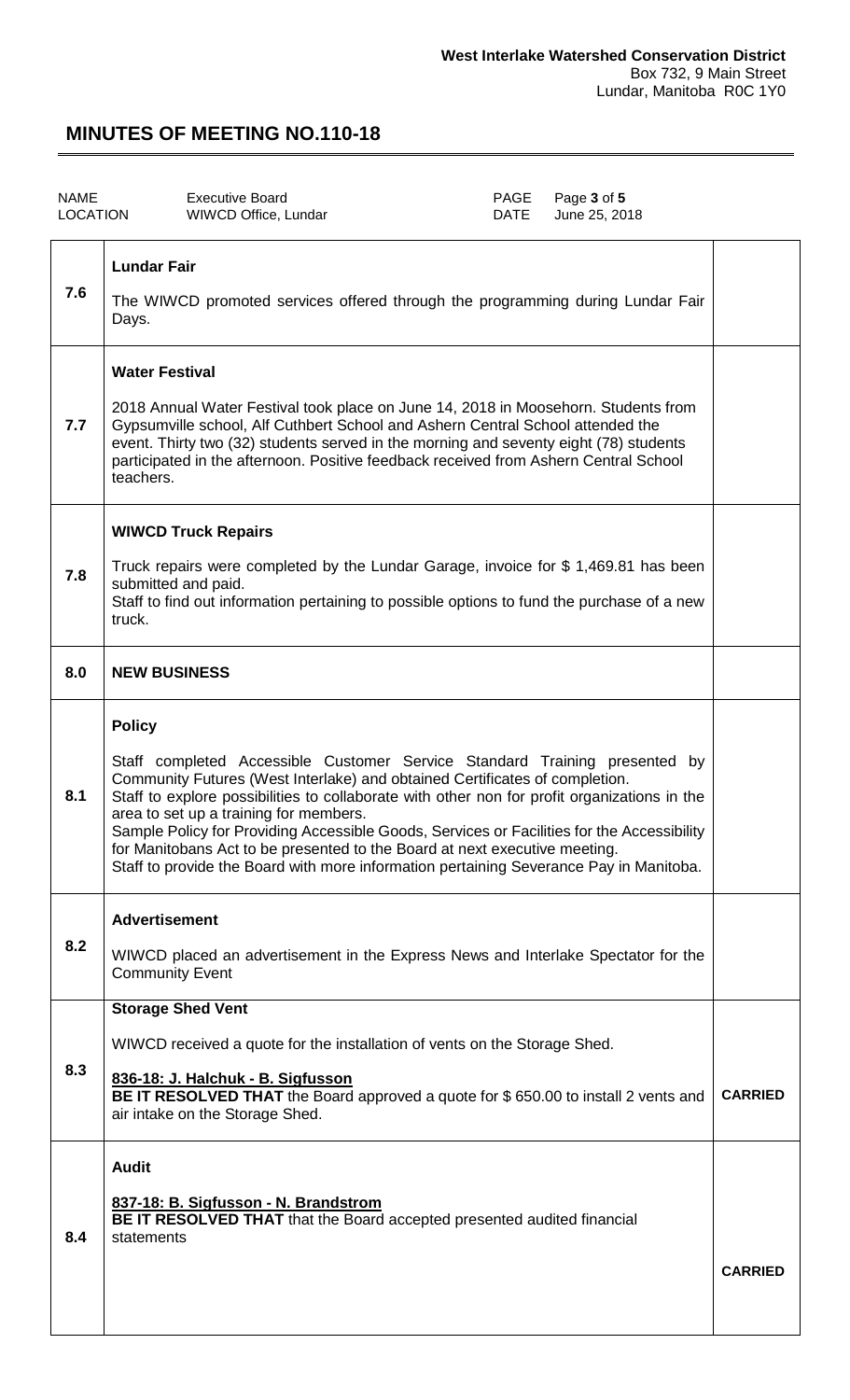| <b>NAME</b><br><b>LOCATION</b> | <b>Executive Board</b><br>WIWCD Office, Lundar                                                                                                                                                                                                                                                                                                                                                                                                                                                                                                                                             | PAGE<br><b>DATE</b> | Page 3 of 5<br>June 25, 2018 |                |
|--------------------------------|--------------------------------------------------------------------------------------------------------------------------------------------------------------------------------------------------------------------------------------------------------------------------------------------------------------------------------------------------------------------------------------------------------------------------------------------------------------------------------------------------------------------------------------------------------------------------------------------|---------------------|------------------------------|----------------|
| 7.6                            | <b>Lundar Fair</b><br>The WIWCD promoted services offered through the programming during Lundar Fair<br>Days.                                                                                                                                                                                                                                                                                                                                                                                                                                                                              |                     |                              |                |
| 7.7                            | <b>Water Festival</b><br>2018 Annual Water Festival took place on June 14, 2018 in Moosehorn. Students from<br>Gypsumville school, Alf Cuthbert School and Ashern Central School attended the<br>event. Thirty two (32) students served in the morning and seventy eight (78) students<br>participated in the afternoon. Positive feedback received from Ashern Central School<br>teachers.                                                                                                                                                                                                |                     |                              |                |
| 7.8                            | <b>WIWCD Truck Repairs</b><br>Truck repairs were completed by the Lundar Garage, invoice for \$1,469.81 has been<br>submitted and paid.<br>Staff to find out information pertaining to possible options to fund the purchase of a new<br>truck.                                                                                                                                                                                                                                                                                                                                            |                     |                              |                |
| 8.0                            | <b>NEW BUSINESS</b>                                                                                                                                                                                                                                                                                                                                                                                                                                                                                                                                                                        |                     |                              |                |
| 8.1                            | <b>Policy</b><br>Staff completed Accessible Customer Service Standard Training presented by<br>Community Futures (West Interlake) and obtained Certificates of completion.<br>Staff to explore possibilities to collaborate with other non for profit organizations in the<br>area to set up a training for members.<br>Sample Policy for Providing Accessible Goods, Services or Facilities for the Accessibility<br>for Manitobans Act to be presented to the Board at next executive meeting.<br>Staff to provide the Board with more information pertaining Severance Pay in Manitoba. |                     |                              |                |
| 8.2                            | <b>Advertisement</b><br>WIWCD placed an advertisement in the Express News and Interlake Spectator for the<br><b>Community Event</b>                                                                                                                                                                                                                                                                                                                                                                                                                                                        |                     |                              |                |
| 8.3                            | <b>Storage Shed Vent</b><br>WIWCD received a quote for the installation of vents on the Storage Shed.<br>836-18: J. Halchuk - B. Sigfusson<br>BE IT RESOLVED THAT the Board approved a quote for \$650.00 to install 2 vents and<br>air intake on the Storage Shed.                                                                                                                                                                                                                                                                                                                        |                     |                              | <b>CARRIED</b> |
| 8.4                            | <b>Audit</b><br>837-18: B. Sigfusson - N. Brandstrom<br><b>BE IT RESOLVED THAT</b> that the Board accepted presented audited financial<br>statements                                                                                                                                                                                                                                                                                                                                                                                                                                       |                     |                              | <b>CARRIED</b> |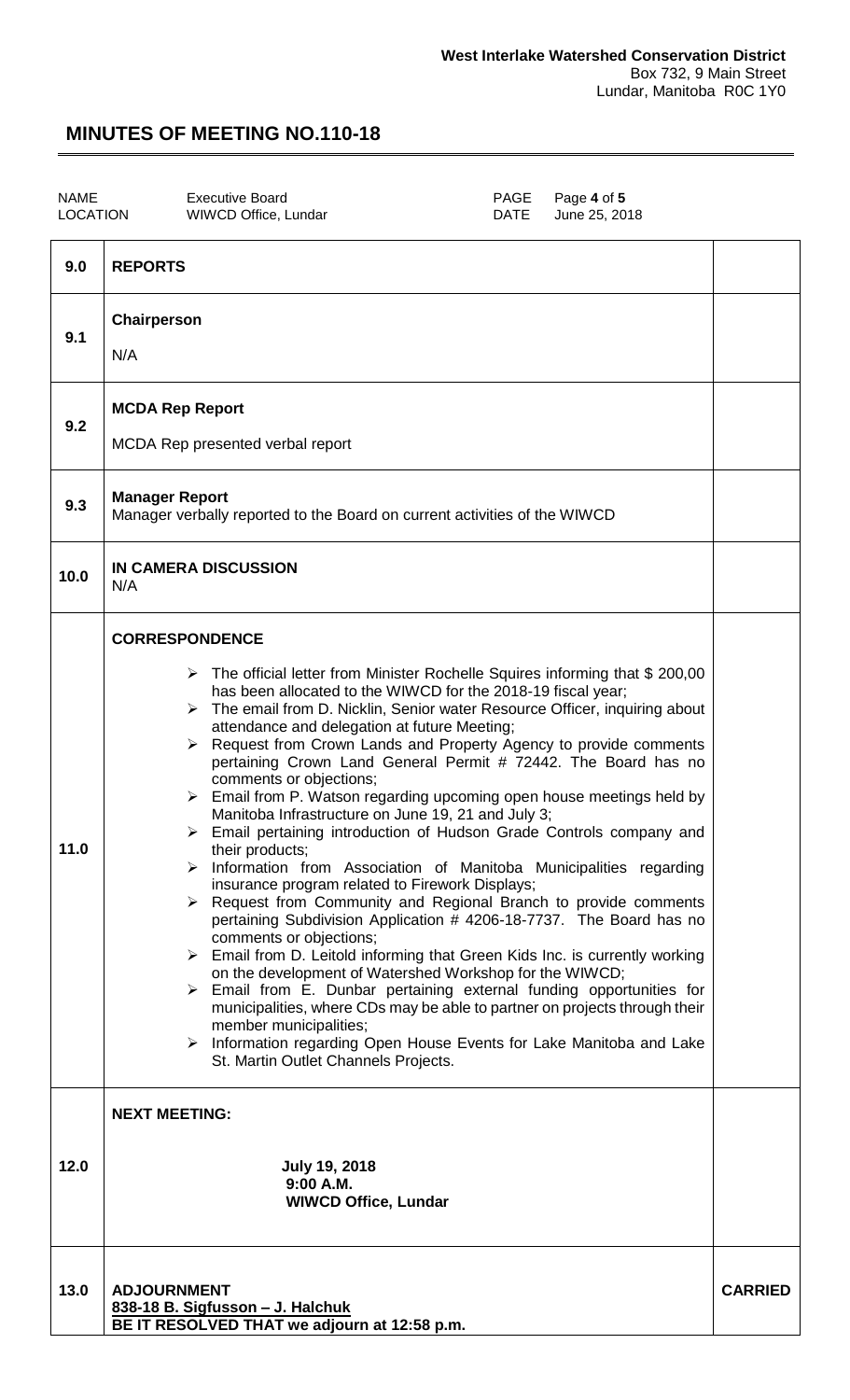T

### **MINUTES OF MEETING NO.110-18**

| NAME     | Executive B |
|----------|-------------|
| LOCATION | WIWCD Off   |

T

oard<br>
ice, Lundar **Name 25, 20**<br>
DATE
June 25, 20 June 25, 2018

| 9.0  | <b>REPORTS</b>                                                                                                                                                                                                                                                                                                                                                                                                                                                                                                                                                                                                                                                                                                                                                                                                                                                                                                                                                                                                                                                                                                                                                                                                                                                                                                                                                                                                                                                                                   |                |
|------|--------------------------------------------------------------------------------------------------------------------------------------------------------------------------------------------------------------------------------------------------------------------------------------------------------------------------------------------------------------------------------------------------------------------------------------------------------------------------------------------------------------------------------------------------------------------------------------------------------------------------------------------------------------------------------------------------------------------------------------------------------------------------------------------------------------------------------------------------------------------------------------------------------------------------------------------------------------------------------------------------------------------------------------------------------------------------------------------------------------------------------------------------------------------------------------------------------------------------------------------------------------------------------------------------------------------------------------------------------------------------------------------------------------------------------------------------------------------------------------------------|----------------|
| 9.1  | Chairperson<br>N/A                                                                                                                                                                                                                                                                                                                                                                                                                                                                                                                                                                                                                                                                                                                                                                                                                                                                                                                                                                                                                                                                                                                                                                                                                                                                                                                                                                                                                                                                               |                |
| 9.2  | <b>MCDA Rep Report</b><br>MCDA Rep presented verbal report                                                                                                                                                                                                                                                                                                                                                                                                                                                                                                                                                                                                                                                                                                                                                                                                                                                                                                                                                                                                                                                                                                                                                                                                                                                                                                                                                                                                                                       |                |
| 9.3  | <b>Manager Report</b><br>Manager verbally reported to the Board on current activities of the WIWCD                                                                                                                                                                                                                                                                                                                                                                                                                                                                                                                                                                                                                                                                                                                                                                                                                                                                                                                                                                                                                                                                                                                                                                                                                                                                                                                                                                                               |                |
| 10.0 | <b>IN CAMERA DISCUSSION</b><br>N/A                                                                                                                                                                                                                                                                                                                                                                                                                                                                                                                                                                                                                                                                                                                                                                                                                                                                                                                                                                                                                                                                                                                                                                                                                                                                                                                                                                                                                                                               |                |
| 11.0 | <b>CORRESPONDENCE</b><br>$\triangleright$ The official letter from Minister Rochelle Squires informing that \$ 200,00<br>has been allocated to the WIWCD for the 2018-19 fiscal year;<br>The email from D. Nicklin, Senior water Resource Officer, inquiring about<br>➤<br>attendance and delegation at future Meeting;<br>Request from Crown Lands and Property Agency to provide comments<br>➤<br>pertaining Crown Land General Permit # 72442. The Board has no<br>comments or objections;<br>$\triangleright$ Email from P. Watson regarding upcoming open house meetings held by<br>Manitoba Infrastructure on June 19, 21 and July 3;<br>> Email pertaining introduction of Hudson Grade Controls company and<br>their products;<br>Information from Association of Manitoba Municipalities regarding<br>≻<br>insurance program related to Firework Displays;<br>Request from Community and Regional Branch to provide comments<br>pertaining Subdivision Application # 4206-18-7737. The Board has no<br>comments or objections;<br>> Email from D. Leitold informing that Green Kids Inc. is currently working<br>on the development of Watershed Workshop for the WIWCD;<br>$\triangleright$ Email from E. Dunbar pertaining external funding opportunities for<br>municipalities, where CDs may be able to partner on projects through their<br>member municipalities;<br>> Information regarding Open House Events for Lake Manitoba and Lake<br>St. Martin Outlet Channels Projects. |                |
|      | <b>NEXT MEETING:</b>                                                                                                                                                                                                                                                                                                                                                                                                                                                                                                                                                                                                                                                                                                                                                                                                                                                                                                                                                                                                                                                                                                                                                                                                                                                                                                                                                                                                                                                                             |                |
| 12.0 | <b>July 19, 2018</b><br>$9:00$ A.M.<br><b>WIWCD Office, Lundar</b>                                                                                                                                                                                                                                                                                                                                                                                                                                                                                                                                                                                                                                                                                                                                                                                                                                                                                                                                                                                                                                                                                                                                                                                                                                                                                                                                                                                                                               |                |
| 13.0 | <b>ADJOURNMENT</b><br>838-18 B. Sigfusson - J. Halchuk<br>BE IT RESOLVED THAT we adjourn at 12:58 p.m.                                                                                                                                                                                                                                                                                                                                                                                                                                                                                                                                                                                                                                                                                                                                                                                                                                                                                                                                                                                                                                                                                                                                                                                                                                                                                                                                                                                           | <b>CARRIED</b> |
|      |                                                                                                                                                                                                                                                                                                                                                                                                                                                                                                                                                                                                                                                                                                                                                                                                                                                                                                                                                                                                                                                                                                                                                                                                                                                                                                                                                                                                                                                                                                  |                |